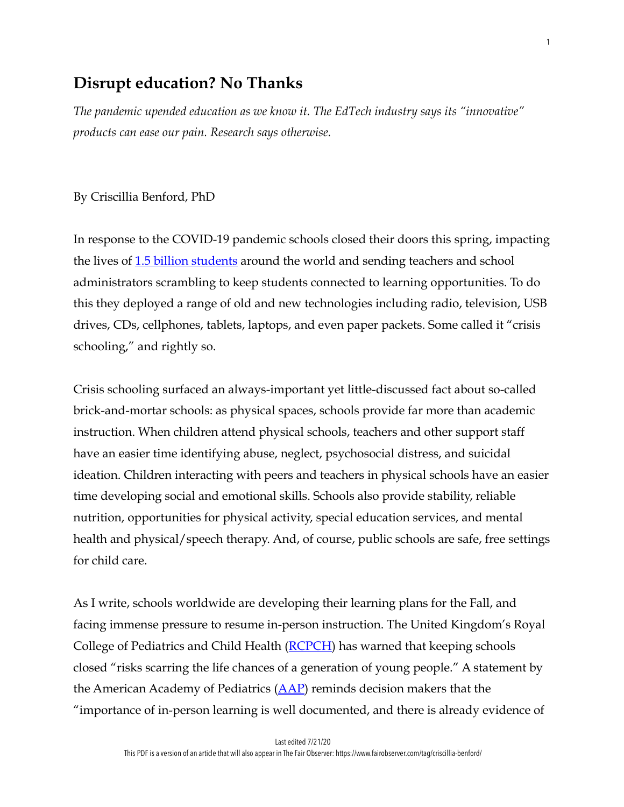# **Disrupt education? No Thanks**

*The pandemic upended education as we know it. The EdTech industry says its "innovative" products can ease our pain. Research says otherwise.* 

By Criscillia Benford, PhD

In response to the COVID-19 pandemic schools closed their doors this spring, impacting the lives of <u>[1.5 billion students](https://en.unesco.org/news/13-billion-learners-are-still-affected-school-university-closures-educational-institutions)</u> around the world and sending teachers and school administrators scrambling to keep students connected to learning opportunities. To do this they deployed a range of old and new technologies including radio, television, USB drives, CDs, cellphones, tablets, laptops, and even paper packets. Some called it "crisis schooling," and rightly so.

Crisis schooling surfaced an always-important yet little-discussed fact about so-called brick-and-mortar schools: as physical spaces, schools provide far more than academic instruction. When children attend physical schools, teachers and other support staff have an easier time identifying abuse, neglect, psychosocial distress, and suicidal ideation. Children interacting with peers and teachers in physical schools have an easier time developing social and emotional skills. Schools also provide stability, reliable nutrition, opportunities for physical activity, special education services, and mental health and physical/speech therapy. And, of course, public schools are safe, free settings for child care.

As I write, schools worldwide are developing their learning plans for the Fall, and facing immense pressure to resume in-person instruction. The United Kingdom's Royal College of Pediatrics and Child Health (**RCPCH**) has warned that keeping schools closed "risks scarring the life chances of a generation of young people." A statement by the American Academy of Pediatrics  $(AAP)$  $(AAP)$  reminds decision makers that the "importance of in-person learning is well documented, and there is already evidence of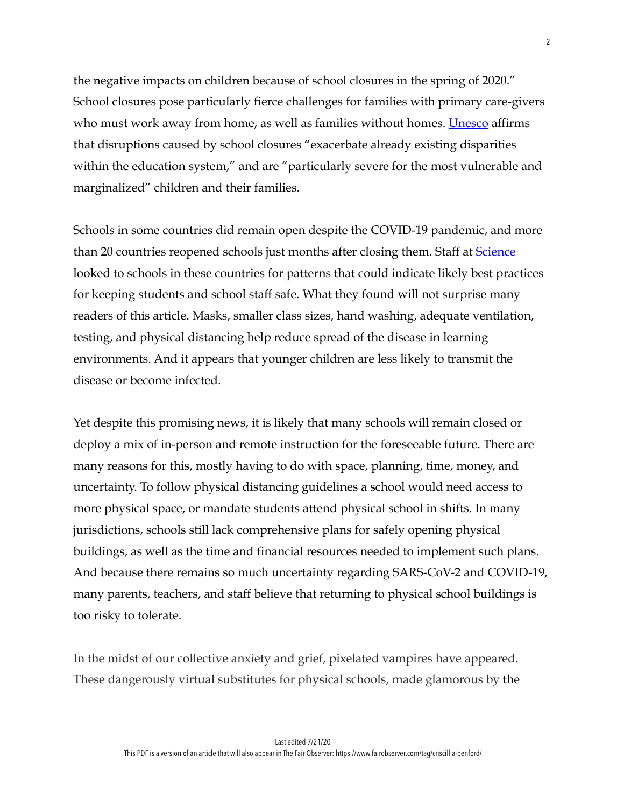the negative impacts on children because of school closures in the spring of 2020." School closures pose particularly fierce challenges for families with primary care-givers who must work away from home, as well as families without homes. [Unesco](https://en.unesco.org/covid19/educationresponse/consequences) affirms that disruptions caused by school closures "exacerbate already existing disparities within the education system," and are "particularly severe for the most vulnerable and marginalized" children and their families.

Schools in some countries did remain open despite the COVID-19 pandemic, and more than 20 countries reopened schools just months after closing them. Staff at **Science** looked to schools in these countries for patterns that could indicate likely best practices for keeping students and school staff safe. What they found will not surprise many readers of this article. Masks, smaller class sizes, hand washing, adequate ventilation, testing, and physical distancing help reduce spread of the disease in learning environments. And it appears that younger children are less likely to transmit the disease or become infected.

Yet despite this promising news, it is likely that many schools will remain closed or deploy a mix of in-person and remote instruction for the foreseeable future. There are many reasons for this, mostly having to do with space, planning, time, money, and uncertainty. To follow physical distancing guidelines a school would need access to more physical space, or mandate students attend physical school in shifts. In many jurisdictions, schools still lack comprehensive plans for safely opening physical buildings, as well as the time and financial resources needed to implement such plans. And because there remains so much uncertainty regarding SARS-CoV-2 and COVID-19, many parents, teachers, and staff believe that returning to physical school buildings is too risky to tolerate.

In the midst of our collective anxiety and grief, pixelated vampires have appeared. These dangerously virtual substitutes for physical schools, made glamorous by the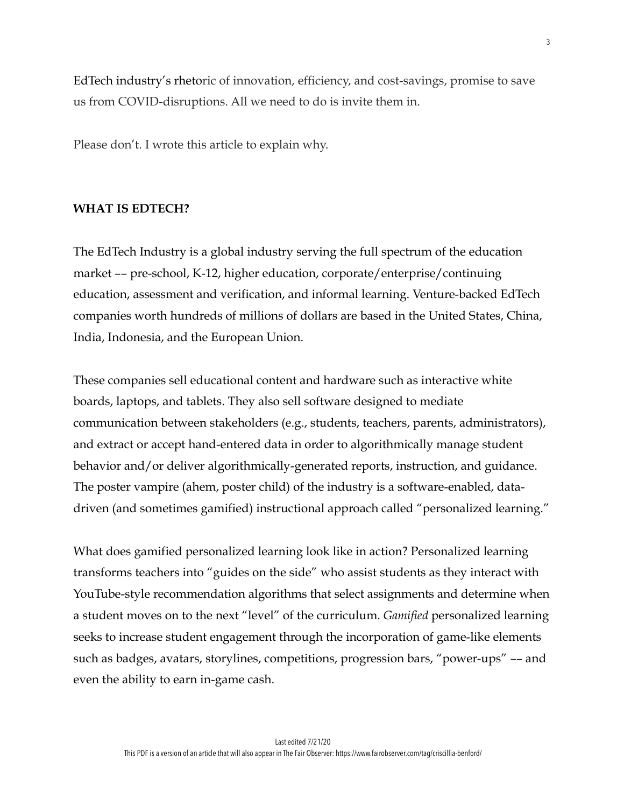EdTech industry's rhetoric of innovation, efficiency, and cost-savings, promise to save us from COVID-disruptions. All we need to do is invite them in.

Please don't. I wrote this article to explain why.

#### **WHAT IS EDTECH?**

The EdTech Industry is a global industry serving the full spectrum of the education market –– pre-school, K-12, higher education, corporate/enterprise/continuing education, assessment and verification, and informal learning. Venture-backed EdTech companies worth hundreds of millions of dollars are based in the United States, China, India, Indonesia, and the European Union.

These companies sell educational content and hardware such as interactive white boards, laptops, and tablets. They also sell software designed to mediate communication between stakeholders (e.g., students, teachers, parents, administrators), and extract or accept hand-entered data in order to algorithmically manage student behavior and/or deliver algorithmically-generated reports, instruction, and guidance. The poster vampire (ahem, poster child) of the industry is a software-enabled, datadriven (and sometimes gamified) instructional approach called "personalized learning."

What does gamified personalized learning look like in action? Personalized learning transforms teachers into "guides on the side" who assist students as they interact with YouTube-style recommendation algorithms that select assignments and determine when a student moves on to the next "level" of the curriculum. *Gamified* personalized learning seeks to increase student engagement through the incorporation of game-like elements such as badges, avatars, storylines, competitions, progression bars, "power-ups" –– and even the ability to earn in-game cash.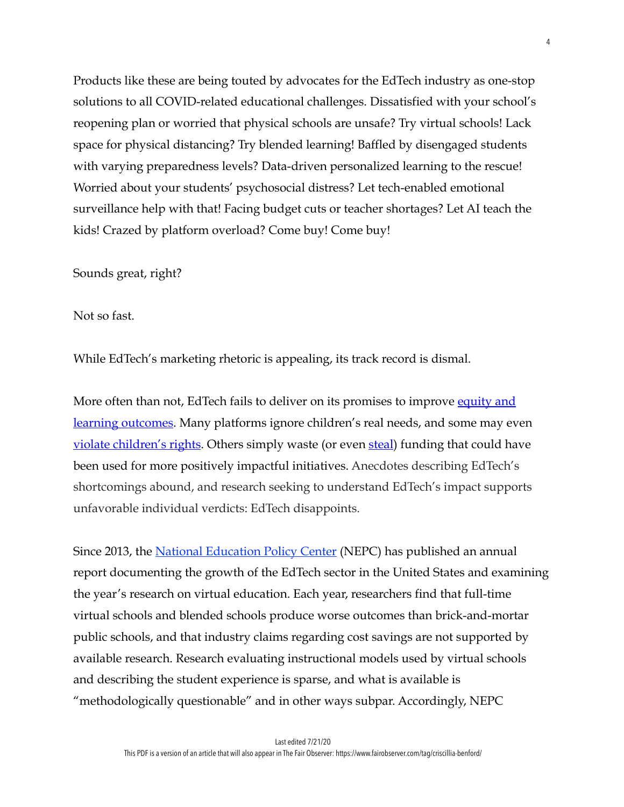Products like these are being touted by advocates for the EdTech industry as one-stop solutions to all COVID-related educational challenges. Dissatisfied with your school's reopening plan or worried that physical schools are unsafe? Try virtual schools! Lack space for physical distancing? Try blended learning! Baffled by disengaged students with varying preparedness levels? Data-driven personalized learning to the rescue! Worried about your students' psychosocial distress? Let tech-enabled emotional surveillance help with that! Facing budget cuts or teacher shortages? Let AI teach the kids! Crazed by platform overload? Come buy! Come buy!

Sounds great, right?

Not so fast.

While EdTech's marketing rhetoric is appealing, its track record is dismal.

More often than not, EdTech fails to deliver on its promises to improve equity and [learning outcomes](https://www.washingtonpost.com/education/2019/05/29/new-report-virtual-education-it-sure-sounds-good-it-turns-out-its-too-good-be-true/). Many platforms ignore children's real needs, and some may even <u>violate children's rights</u>. Others simply waste (or even [steal](https://www.indystar.com/story/news/education/2020/02/12/indiana-trying-get-back-millions-shuttered-virtual-schools/4740433002/)) funding that could have been used for more positively impactful initiatives. Anecdotes describing EdTech's shortcomings abound, and research seeking to understand EdTech's impact supports unfavorable individual verdicts: EdTech disappoints.

Since 2013, the <u>National Education Policy Center</u> (NEPC) has published an annual report documenting the growth of the EdTech sector in the United States and examining the year's research on virtual education. Each year, researchers find that full-time virtual schools and blended schools produce worse outcomes than brick-and-mortar public schools, and that industry claims regarding cost savings are not supported by available research. Research evaluating instructional models used by virtual schools and describing the student experience is sparse, and what is available is "methodologically questionable" and in other ways subpar. Accordingly, NEPC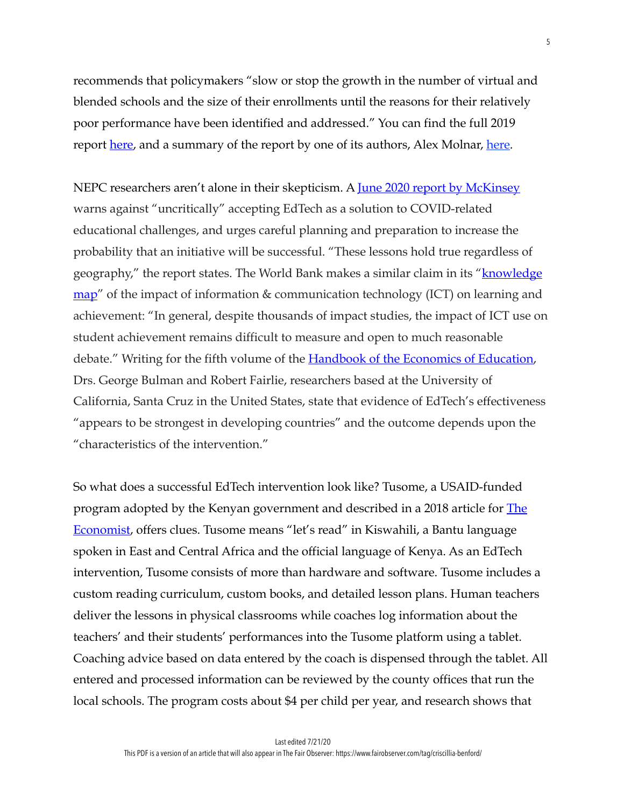recommends that policymakers "slow or stop the growth in the number of virtual and blended schools and the size of their enrollments until the reasons for their relatively poor performance have been identified and addressed." You can find the full 2019 report <u>[here](https://www.washingtonpost.com/education/2019/05/29/new-report-virtual-education-it-sure-sounds-good-it-turns-out-its-too-good-be-true/)</u>, and a summary of the report by one of its authors, Alex Molnar, here.

NEPC researchers aren't alone in their skepticism. A [June 2020 report by McKinsey](https://www.mckinsey.com/industries/social-sector/our-insights/new-global-data-reveal-education-technologys-impact-on-learning) warns against "uncritically" accepting EdTech as a solution to COVID-related educational challenges, and urges careful planning and preparation to increase the probability that an initiative will be successful. "These lessons hold true regardless of geography," the report states. The World Bank makes a similar claim in its "**knowledge** [map"](http://www.infodev.org/articles/impact-icts-learning-achievement) of the impact of information & communication technology (ICT) on learning and achievement: "In general, despite thousands of impact studies, the impact of ICT use on student achievement remains difficult to measure and open to much reasonable debate." Writing for the fifth volume of the **Handbook of the Economics of Education**, Drs. George Bulman and Robert Fairlie, researchers based at the University of California, Santa Cruz in the United States, state that evidence of EdTech's effectiveness "appears to be strongest in developing countries" and the outcome depends upon the "characteristics of the intervention."

So what does a successful EdTech intervention look like? Tusome, a USAID-funded program adopted by the Kenyan government and described in a 2018 article for **The** [Economist,](https://www.economist.com/international/2018/11/17/in-poor-countries-technology-can-make-big-improvements-to-education) offers clues. Tusome means "let's read" in Kiswahili, a Bantu language spoken in East and Central Africa and the official language of Kenya. As an EdTech intervention, Tusome consists of more than hardware and software. Tusome includes a custom reading curriculum, custom books, and detailed lesson plans. Human teachers deliver the lessons in physical classrooms while coaches log information about the teachers' and their students' performances into the Tusome platform using a tablet. Coaching advice based on data entered by the coach is dispensed through the tablet. All entered and processed information can be reviewed by the county offices that run the local schools. The program costs about \$4 per child per year, and research shows that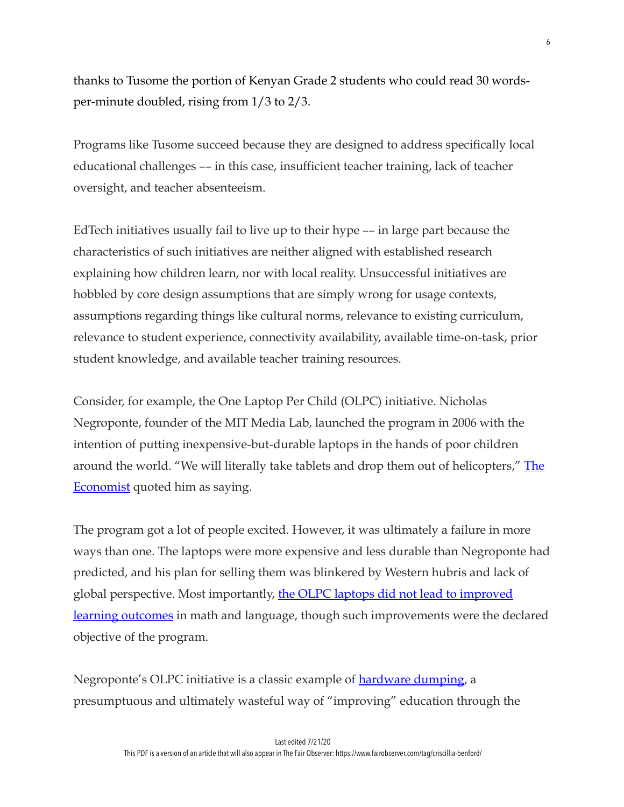thanks to Tusome the portion of Kenyan Grade 2 students who could read 30 wordsper-minute doubled, rising from 1/3 to 2/3.

Programs like Tusome succeed because they are designed to address specifically local educational challenges –– in this case, insufficient teacher training, lack of teacher oversight, and teacher absenteeism.

EdTech initiatives usually fail to live up to their hype –– in large part because the characteristics of such initiatives are neither aligned with established research explaining how children learn, nor with local reality. Unsuccessful initiatives are hobbled by core design assumptions that are simply wrong for usage contexts, assumptions regarding things like cultural norms, relevance to existing curriculum, relevance to student experience, connectivity availability, available time-on-task, prior student knowledge, and available teacher training resources.

Consider, for example, the One Laptop Per Child (OLPC) initiative. Nicholas Negroponte, founder of the MIT Media Lab, launched the program in 2006 with the intention of putting inexpensive-but-durable laptops in the hands of poor children around the world. "We will literally take tablets and drop them out of helicopters," The [Economist](https://www.economist.com/international/2018/11/17/in-poor-countries-technology-can-make-big-improvements-to-education) quoted him as saying.

The program got a lot of people excited. However, it was ultimately a failure in more ways than one. The laptops were more expensive and less durable than Negroponte had predicted, and his plan for selling them was blinkered by Western hubris and lack of global perspective. Most importantly, [the OLPC laptops did not lead to improved](https://blogs.worldbank.org/impactevaluations/one-laptop-per-child-is-not-improving-reading-or-math-but-are-we-learning-enough-from-these-evaluati)  [learning outcomes](https://blogs.worldbank.org/impactevaluations/one-laptop-per-child-is-not-improving-reading-or-math-but-are-we-learning-enough-from-these-evaluati) in math and language, though such improvements were the declared objective of the program.

Negroponte's OLPC initiative is a classic example of **hardware dumping**, a presumptuous and ultimately wasteful way of "improving" education through the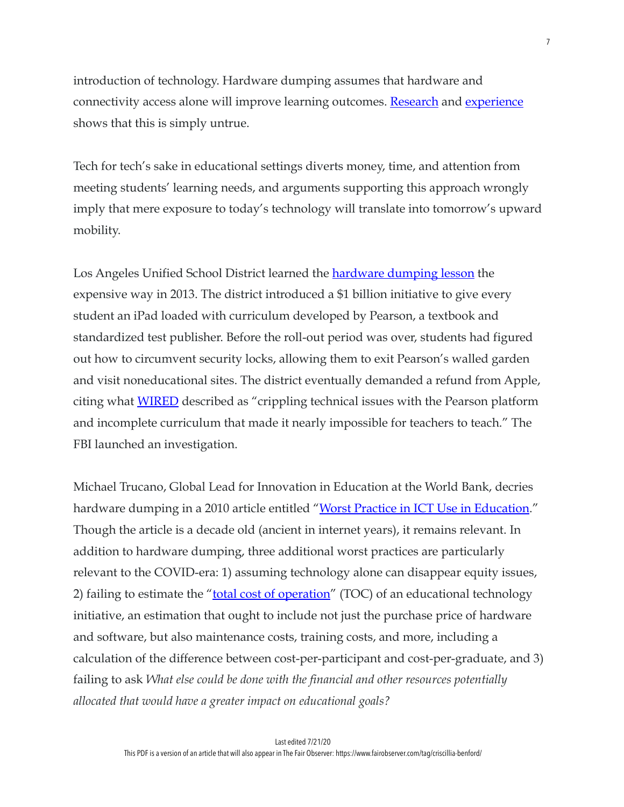introduction of technology. Hardware dumping assumes that hardware and connectivity access alone will improve learning outcomes. [Research](https://www.mckinsey.com/industries/social-sector/our-insights/new-global-data-reveal-education-technologys-impact-on-learning) and [experience](https://theconversation.com/without-teacher-guidance-all-the-tech-in-the-world-will-be-quite-useless-42738) shows that this is simply untrue.

Tech for tech's sake in educational settings diverts money, time, and attention from meeting students' learning needs, and arguments supporting this approach wrongly imply that mere exposure to today's technology will translate into tomorrow's upward mobility.

Los Angeles Unified School District learned the **hardware dumping lesson** the expensive way in 2013. The district introduced a \$1 billion initiative to give every student an iPad loaded with curriculum developed by Pearson, a textbook and standardized test publisher. Before the roll-out period was over, students had figured out how to circumvent security locks, allowing them to exit Pearson's walled garden and visit noneducational sites. The district eventually demanded a refund from Apple, citing what [WIRED](https://www.wired.com/2015/05/los-angeles-edtech/) described as "crippling technical issues with the Pearson platform and incomplete curriculum that made it nearly impossible for teachers to teach." The FBI launched an investigation.

Michael Trucano, Global Lead for Innovation in Education at the World Bank, decries hardware dumping in a 2010 article entitled "<u>Worst Practice in ICT Use in Education</u>." Though the article is a decade old (ancient in internet years), it remains relevant. In addition to hardware dumping, three additional worst practices are particularly relevant to the COVID-era: 1) assuming technology alone can disappear equity issues, 2) failing to estimate the "[total cost of operation](https://www.infodev.org/articles/icts-education-costs)" (TOC) of an educational technology initiative, an estimation that ought to include not just the purchase price of hardware and software, but also maintenance costs, training costs, and more, including a calculation of the difference between cost-per-participant and cost-per-graduate, and 3) failing to ask *What else could be done with the financial and other resources potentially allocated that would have a greater impact on educational goals?*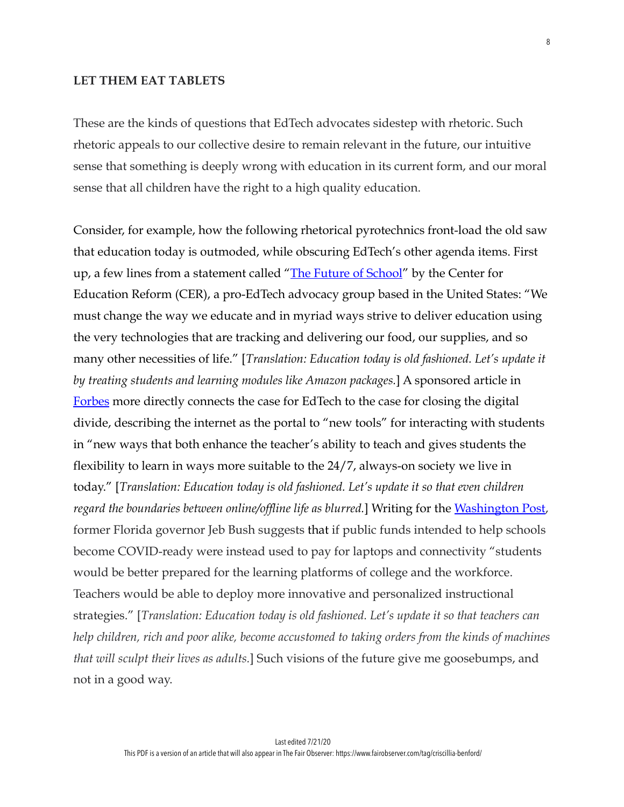#### **LET THEM EAT TABLETS**

These are the kinds of questions that EdTech advocates sidestep with rhetoric. Such rhetoric appeals to our collective desire to remain relevant in the future, our intuitive sense that something is deeply wrong with education in its current form, and our moral sense that all children have the right to a high quality education.

Consider, for example, how the following rhetorical pyrotechnics front-load the old saw that education today is outmoded, while obscuring EdTech's other agenda items. First up, a few lines from a statement called "The Future of School" by the Center for Education Reform (CER), a pro-EdTech advocacy group based in the United States: "We must change the way we educate and in myriad ways strive to deliver education using the very technologies that are tracking and delivering our food, our supplies, and so many other necessities of life." [*Translation: Education today is old fashioned. Let's update it by treating students and learning modules like Amazon packages.*] A sponsored article in [Forbes](https://www.forbes.com/sites/tmobile/2020/05/22/its-time-to-close-the-digital-divide/#59c768c219b5) more directly connects the case for EdTech to the case for closing the digital divide, describing the internet as the portal to "new tools" for interacting with students in "new ways that both enhance the teacher's ability to teach and gives students the flexibility to learn in ways more suitable to the 24/7, always-on society we live in today." [*Translation: Education today is old fashioned. Let's update it so that even children regard the boundaries between online/offline life as blurred.*] Writing for the [Washington Post](https://www.washingtonpost.com/opinions/2020/05/03/jeb-bush-its-time-embrace-distance-learning-not-just-because-coronavirus/), former Florida governor Jeb Bush suggests that if public funds intended to help schools become COVID-ready were instead used to pay for laptops and connectivity "students would be better prepared for the learning platforms of college and the workforce. Teachers would be able to deploy more innovative and personalized instructional strategies." [*Translation: Education today is old fashioned. Let's update it so that teachers can help children, rich and poor alike, become accustomed to taking orders from the kinds of machines that will sculpt their lives as adults.*] Such visions of the future give me goosebumps, and not in a good way.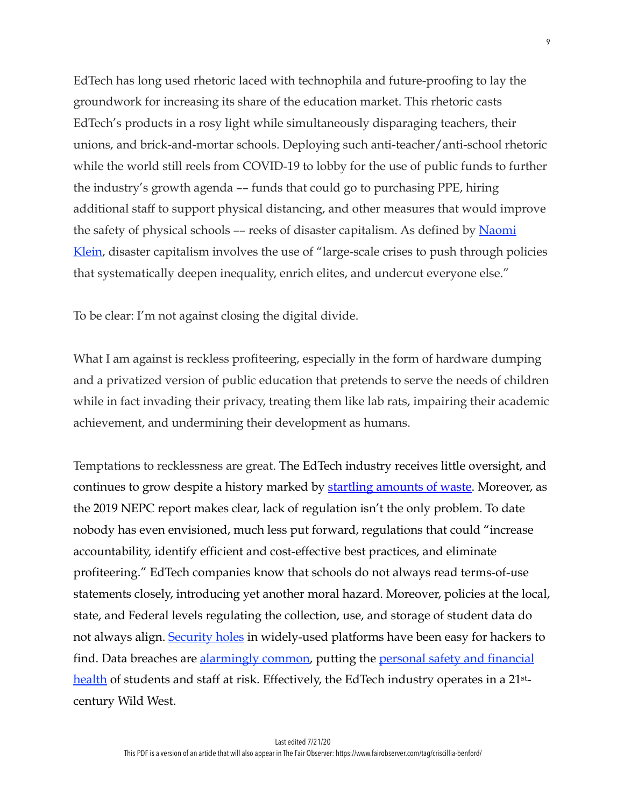EdTech has long used rhetoric laced with technophila and future-proofing to lay the groundwork for increasing its share of the education market. This rhetoric casts EdTech's products in a rosy light while simultaneously disparaging teachers, their unions, and brick-and-mortar schools. Deploying such anti-teacher/anti-school rhetoric while the world still reels from COVID-19 to lobby for the use of public funds to further the industry's growth agenda –– funds that could go to purchasing PPE, hiring additional staff to support physical distancing, and other measures that would improve the safety of physical schools -- reeks of disaster capitalism. As defined by Naomi [Klein](https://www.vice.com/en_us/article/5dmqyk/naomi-klein-interview-on-coronavirus-and-disaster-capitalism-shock-doctrine), disaster capitalism involves the use of "large-scale crises to push through policies that systematically deepen inequality, enrich elites, and undercut everyone else."

To be clear: I'm not against closing the digital divide.

What I am against is reckless profiteering, especially in the form of hardware dumping and a privatized version of public education that pretends to serve the needs of children while in fact invading their privacy, treating them like lab rats, impairing their academic achievement, and undermining their development as humans.

Temptations to recklessness are great. The EdTech industry receives little oversight, and continues to grow despite a history marked by [startling amounts of waste.](https://www.insidehighered.com/blogs/just-visiting/poised-another-decade-ed-tech-debacles) Moreover, as the 2019 NEPC report makes clear, lack of regulation isn't the only problem. To date nobody has even envisioned, much less put forward, regulations that could "increase accountability, identify efficient and cost-effective best practices, and eliminate profiteering." EdTech companies know that schools do not always read terms-of-use statements closely, introducing yet another moral hazard. Moreover, policies at the local, state, and Federal levels regulating the collection, use, and storage of student data do not always align. **Security holes** in widely-used platforms have been easy for hackers to find. Data breaches are [alarmingly common](https://www.edsurge.com/news/2017-05-24-massive-data-breaches-billions-in-wasted-funds-who-is-holding-edtech-vendors-accountable), putting the personal safety and financial [health](https://edtechmagazine.com/k12/article/2019/10/cybersecurity-threats-keep-k-12-cios-night) of students and staff at risk. Effectively, the EdTech industry operates in a 21stcentury Wild West.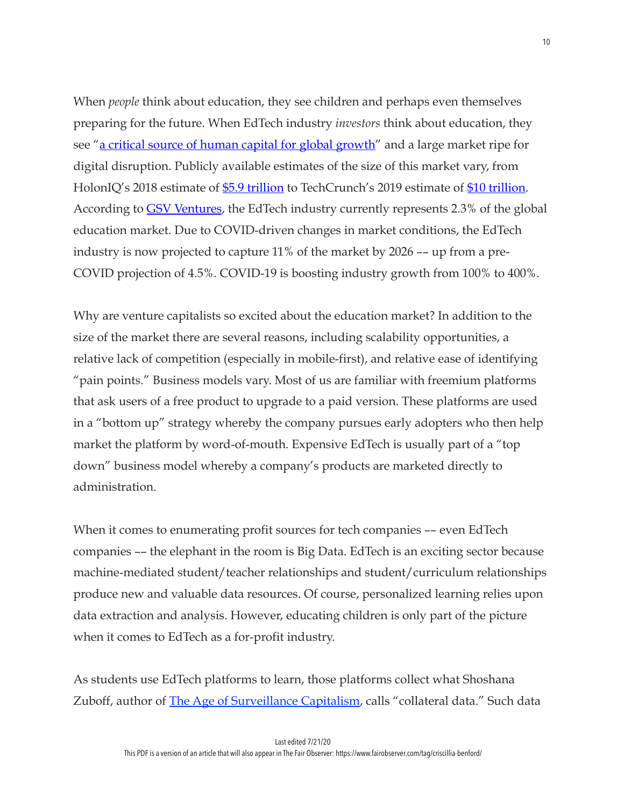When *people* think about education, they see children and perhaps even themselves preparing for the future. When EdTech industry *investors* think about education, they see "[a critical source of human capital for global growth](https://markets.businessinsider.com/news/stocks/global-education-technology-market-to-reach-341b-by-2025-1027892295)" and a large market ripe for digital disruption. Publicly available estimates of the size of this market vary, from HolonIQ's 2018 estimate of [\\$5.9 trillion](https://www.holoniq.com/wp-content/uploads/2019/02/HolonIQ-2019-Global-Outlook-Deck.pdf) to TechCrunch's 2019 estimate of [\\$10 trillion.](https://techcrunch.com/2019/02/28/classdojo-an-app-to-help-teachers-and-parents-communicate-better-raises-35m/) According to **GSV Ventures**, the EdTech industry currently represents 2.3% of the global education market. Due to COVID-driven changes in market conditions, the EdTech industry is now projected to capture 11% of the market by 2026 –– up from a pre-COVID projection of 4.5%. COVID-19 is boosting industry growth from 100% to 400%.

Why are venture capitalists so excited about the education market? In addition to the size of the market there are several reasons, including scalability opportunities, a relative lack of competition (especially in mobile-first), and relative ease of identifying "pain points." Business models vary. Most of us are familiar with freemium platforms that ask users of a free product to upgrade to a paid version. These platforms are used in a "bottom up" strategy whereby the company pursues early adopters who then help market the platform by word-of-mouth. Expensive EdTech is usually part of a "top down" business model whereby a company's products are marketed directly to administration.

When it comes to enumerating profit sources for tech companies –– even EdTech companies –– the elephant in the room is Big Data. EdTech is an exciting sector because machine-mediated student/teacher relationships and student/curriculum relationships produce new and valuable data resources. Of course, personalized learning relies upon data extraction and analysis. However, educating children is only part of the picture when it comes to EdTech as a for-profit industry.

As students use EdTech platforms to learn, those platforms collect what Shoshana Zuboff, author of **The Age of Surveillance Capitalism**, calls "collateral data." Such data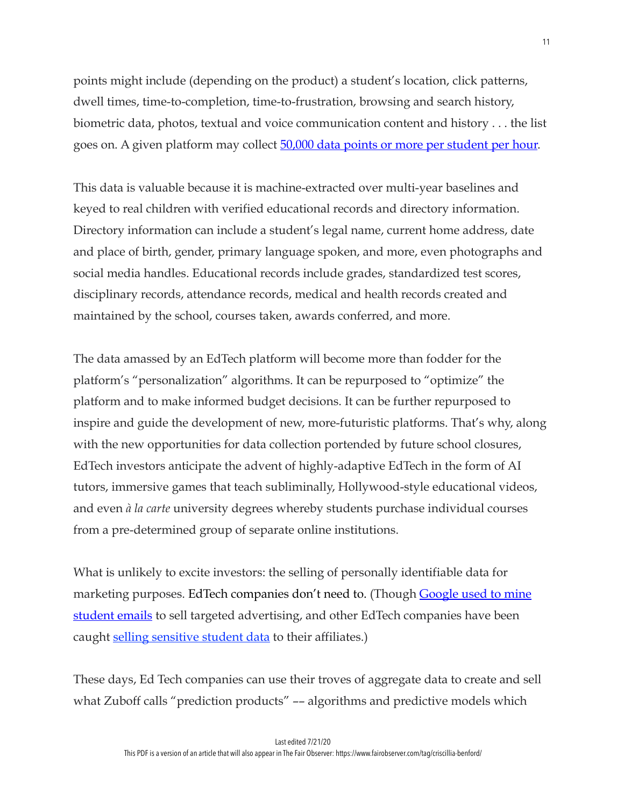points might include (depending on the product) a student's location, click patterns, dwell times, time-to-completion, time-to-frustration, browsing and search history, biometric data, photos, textual and voice communication content and history . . . the list goes on. A given platform may collect 50,000 data points or more per student per hour.

This data is valuable because it is machine-extracted over multi-year baselines and keyed to real children with verified educational records and directory information. Directory information can include a student's legal name, current home address, date and place of birth, gender, primary language spoken, and more, even photographs and social media handles. Educational records include grades, standardized test scores, disciplinary records, attendance records, medical and health records created and maintained by the school, courses taken, awards conferred, and more.

The data amassed by an EdTech platform will become more than fodder for the platform's "personalization" algorithms. It can be repurposed to "optimize" the platform and to make informed budget decisions. It can be further repurposed to inspire and guide the development of new, more-futuristic platforms. That's why, along with the new opportunities for data collection portended by future school closures, EdTech investors anticipate the advent of highly-adaptive EdTech in the form of AI tutors, immersive games that teach subliminally, Hollywood-style educational videos, and even *à la carte* university degrees whereby students purchase individual courses from a pre-determined group of separate online institutions.

What is unlikely to excite investors: the selling of personally identifiable data for marketing purposes. EdTech companies don't need to. (Though **Google used to mine** [student emails](https://www.edweek.org/ew/articles/2014/03/13/26google.h33.html) to sell targeted advertising, and other EdTech companies have been caught **selling sensitive student data** to their affiliates.)

These days, Ed Tech companies can use their troves of aggregate data to create and sell what Zuboff calls "prediction products" -- algorithms and predictive models which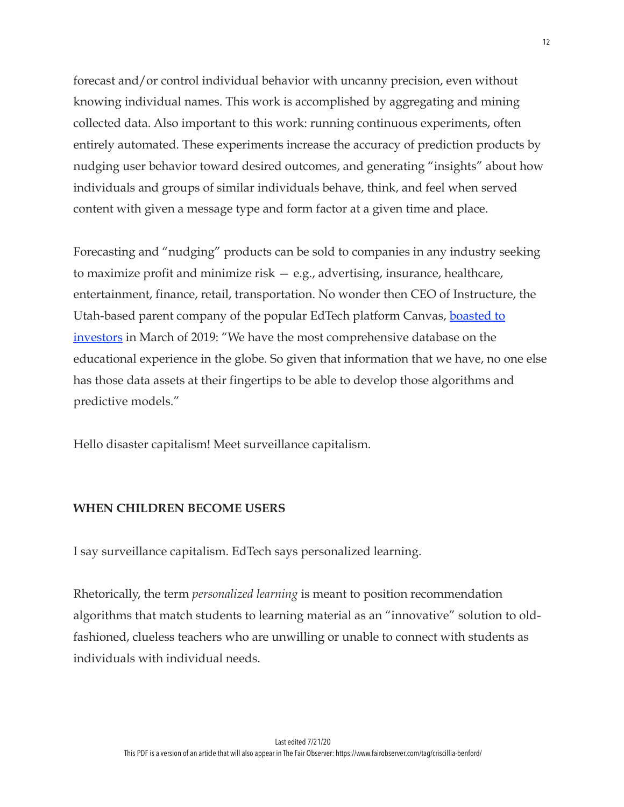forecast and/or control individual behavior with uncanny precision, even without knowing individual names. This work is accomplished by aggregating and mining collected data. Also important to this work: running continuous experiments, often entirely automated. These experiments increase the accuracy of prediction products by nudging user behavior toward desired outcomes, and generating "insights" about how individuals and groups of similar individuals behave, think, and feel when served content with given a message type and form factor at a given time and place.

Forecasting and "nudging" products can be sold to companies in any industry seeking to maximize profit and minimize risk — e.g., advertising, insurance, healthcare, entertainment, finance, retail, transportation. No wonder then CEO of Instructure, the Utah-based parent company of the popular EdTech platform Canvas, **boasted to** [investors](https://www.washingtonpost.com/education/2020/03/20/schooling-rapidly-moves-online-across-country-concerns-rise-about-student-data-privacy/) in March of 2019: "We have the most comprehensive database on the educational experience in the globe. So given that information that we have, no one else has those data assets at their fingertips to be able to develop those algorithms and predictive models."

Hello disaster capitalism! Meet surveillance capitalism.

## **WHEN CHILDREN BECOME USERS**

I say surveillance capitalism. EdTech says personalized learning.

Rhetorically, the term *personalized learning* is meant to position recommendation algorithms that match students to learning material as an "innovative" solution to oldfashioned, clueless teachers who are unwilling or unable to connect with students as individuals with individual needs.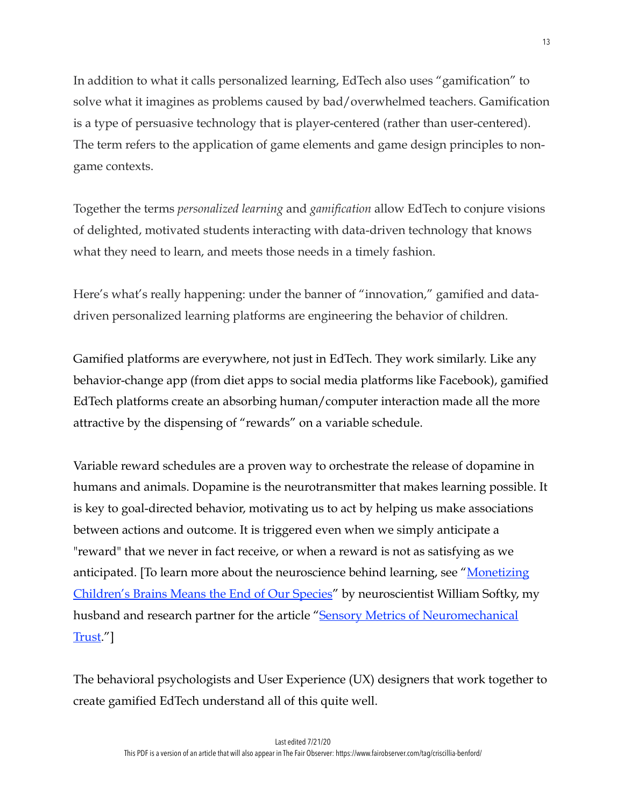In addition to what it calls personalized learning, EdTech also uses "gamification" to solve what it imagines as problems caused by bad/overwhelmed teachers. Gamification is a type of persuasive technology that is player-centered (rather than user-centered). The term refers to the application of game elements and game design principles to nongame contexts.

Together the terms *personalized learning* and *gamification* allow EdTech to conjure visions of delighted, motivated students interacting with data-driven technology that knows what they need to learn, and meets those needs in a timely fashion.

Here's what's really happening: under the banner of "innovation," gamified and datadriven personalized learning platforms are engineering the behavior of children.

Gamified platforms are everywhere, not just in EdTech. They work similarly. Like any behavior-change app (from diet apps to social media platforms like Facebook), gamified EdTech platforms create an absorbing human/computer interaction made all the more attractive by the dispensing of "rewards" on a variable schedule.

Variable reward schedules are a proven way to orchestrate the release of dopamine in humans and animals. Dopamine is the neurotransmitter that makes learning possible. It is key to goal-directed behavior, motivating us to act by helping us make associations between actions and outcome. It is triggered even when we simply anticipate a "reward" that we never in fact receive, or when a reward is not as satisfying as we anticipated. [To learn more about the neuroscience behind learning, see ["Monetizing](https://www.fairobserver.com/author/william-softky/)  [Children's Brains Means the End of Our Species](https://www.fairobserver.com/author/william-softky/)" by neuroscientist William Softky, my husband and research partner for the article "Sensory Metrics of Neuromechanical [Trust](https://www.mitpressjournals.org/doi/abs/10.1162/neco_a_00988?journalCode=neco)."]

The behavioral psychologists and User Experience (UX) designers that work together to create gamified EdTech understand all of this quite well.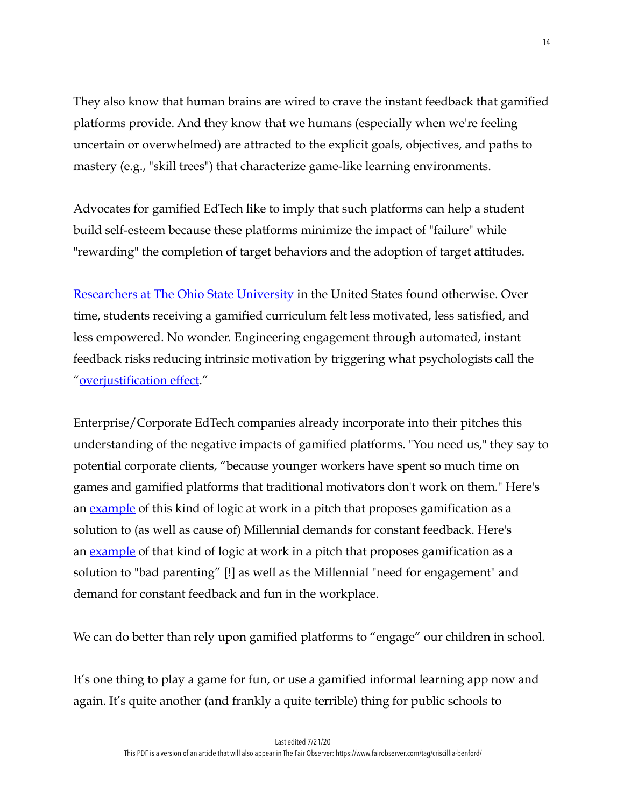They also know that human brains are wired to crave the instant feedback that gamified platforms provide. And they know that we humans (especially when we're feeling uncertain or overwhelmed) are attracted to the explicit goals, objectives, and paths to mastery (e.g., "skill trees") that characterize game-like learning environments.

Advocates for gamified EdTech like to imply that such platforms can help a student build self-esteem because these platforms minimize the impact of "failure" while "rewarding" the completion of target behaviors and the adoption of target attitudes.

[Researchers at The Ohio State University](https://www.sciencedirect.com/science/article/abs/pii/S0360131514002000) in the United States found otherwise. Over time, students receiving a gamified curriculum felt less motivated, less satisfied, and less empowered. No wonder. Engineering engagement through automated, instant feedback risks reducing intrinsic motivation by triggering what psychologists call the "[overjustification effect.](https://sites.psu.edu/aspsy/2019/03/24/overjustification-effect-in-education/)"

Enterprise/Corporate EdTech companies already incorporate into their pitches this understanding of the negative impacts of gamified platforms. "You need us," they say to potential corporate clients, "because younger workers have spent so much time on games and gamified platforms that traditional motivators don't work on them." Here's an <u>[example](https://www.yourtrainingedge.com/training-and-education-for-millennials-through-gamification/)</u> of this kind of logic at work in a pitch that proposes gamification as a solution to (as well as cause of) Millennial demands for constant feedback. Here's an <u>[example](https://www.rallyware.com/blog/millennials_killed_lms)</u> of that kind of logic at work in a pitch that proposes gamification as a solution to "bad parenting" [!] as well as the Millennial "need for engagement" and demand for constant feedback and fun in the workplace.

We can do better than rely upon gamified platforms to "engage" our children in school.

It's one thing to play a game for fun, or use a gamified informal learning app now and again. It's quite another (and frankly a quite terrible) thing for public schools to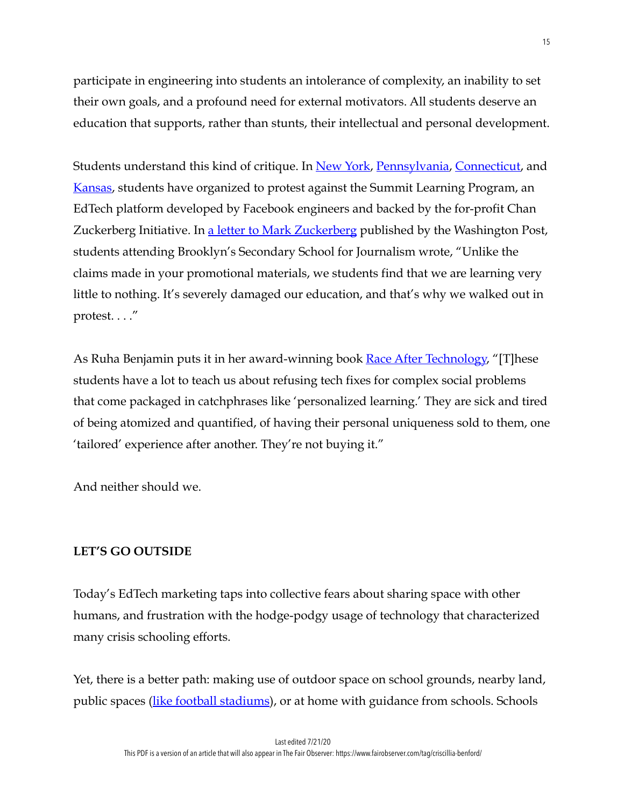participate in engineering into students an intolerance of complexity, an inability to set their own goals, and a profound need for external motivators. All students deserve an education that supports, rather than stunts, their intellectual and personal development.

Students understand this kind of critique. In <u>New York</u>, [Pennsylvania,](https://www.classsizematters.org/wp-content/uploads/2019/03/Perceptions-of-the-Summit-Learning-Platform-Indiana-Univ-of-PA.pdf) [Connecticut,](https://nymag.com/intelligencer/2018/10/the-connecticut-resistance-to-zucks-summit-learning-program.html) and [Kansas,](https://www.nytimes.com/2019/04/21/technology/silicon-valley-kansas-schools.html) students have organized to protest against the Summit Learning Program, an EdTech platform developed by Facebook engineers and backed by the for-profit Chan Zuckerberg Initiative. In <u>a letter to Mark Zuckerberg</u> published by the Washington Post, students attending Brooklyn's Secondary School for Journalism wrote, "Unlike the claims made in your promotional materials, we students find that we are learning very little to nothing. It's severely damaged our education, and that's why we walked out in protest. . . ."

As Ruha Benjamin puts it in her award-winning book [Race After Technology,](https://www.ruhabenjamin.com/race-after-technology) "[T]hese students have a lot to teach us about refusing tech fixes for complex social problems that come packaged in catchphrases like 'personalized learning.' They are sick and tired of being atomized and quantified, of having their personal uniqueness sold to them, one 'tailored' experience after another. They're not buying it."

And neither should we.

# **LET'S GO OUTSIDE**

Today's EdTech marketing taps into collective fears about sharing space with other humans, and frustration with the hodge-podgy usage of technology that characterized many crisis schooling efforts.

Yet, there is a better path: making use of outdoor space on school grounds, nearby land, public spaces ([like football stadiums\)](https://www.usnews.com/news/education-news/articles/2020-05-11/students-in-denmark-go-to-school-in-soccer-stadium-amid-coronavirus-pandemic), or at home with guidance from schools. Schools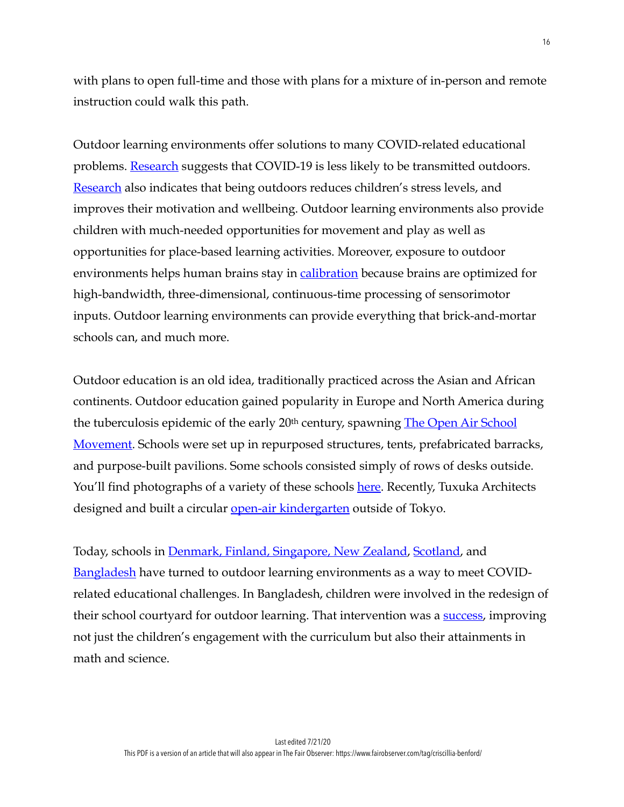with plans to open full-time and those with plans for a mixture of in-person and remote instruction could walk this path.

Outdoor learning environments offer solutions to many COVID-related educational problems. <u>[Research](https://www.wsj.com/articles/how-exactly-do-you-catch-covid-19-there-is-a-growing-consensus-11592317650)</u> suggests that COVID-19 is less likely to be transmitted outdoors. [Research](https://www.weforum.org/agenda/2020/06/covid19-school-playground-children-outside-education/) also indicates that being outdoors reduces children's stress levels, and improves their motivation and wellbeing. Outdoor learning environments also provide children with much-needed opportunities for movement and play as well as opportunities for place-based learning activities. Moreover, exposure to outdoor environments helps human brains stay in **[calibration](https://www.mitpressjournals.org/doi/abs/10.1162/neco_a_00988?journalCode=neco)** because brains are optimized for high-bandwidth, three-dimensional, continuous-time processing of sensorimotor inputs. Outdoor learning environments can provide everything that brick-and-mortar schools can, and much more.

Outdoor education is an old idea, traditionally practiced across the Asian and African continents. Outdoor education gained popularity in Europe and North America during the tuberculosis epidemic of the early 20<sup>th</sup> century, spawning **The Open Air School** [Movement.](https://www.encyclopedia.com/children/encyclopedias-almanacs-transcripts-and-maps/open-air-school-movement) Schools were set up in repurposed structures, tents, prefabricated barracks, and purpose-built pavilions. Some schools consisted simply of rows of desks outside. You'll find photographs of a variety of these schools [here.](https://www.messynessychic.com/2016/03/15/classrooms-without-walls-a-forgotten-age-of-open-air-schools/) Recently, Tuxuka Architects designed and built a circular <u>[open-air kindergarten](https://ideas.ted.com/inside-the-worlds-best-kindergarten/)</u> outside of Tokyo.

Today, schools in [Denmark, Finland, Singapore, New Zealand,](https://www.edu-quip.co.uk/blog/4-countries-who-are-championing-outdoor-learning-and-why-we-should-be-doing-the-same) [Scotland,](https://www.theguardian.com/uk-news/2020/may/10/scotland-eyes-outdoor-learning-as-model-for-reopening-of-schools?fbclid=IwAR2o_w7Ri8IQ8QEU1Li2UqqMuo5cOFU-ftkzjPnEHGNh0zwv-8_XTWN3s6Q) and [Bangladesh](https://www.weforum.org/agenda/2020/06/covid19-school-playground-children-outside-education/) have turned to outdoor learning environments as a way to meet COVIDrelated educational challenges. In Bangladesh, children were involved in the redesign of their school courtyard for outdoor learning. That intervention was a **success**, improving not just the children's engagement with the curriculum but also their attainments in math and science.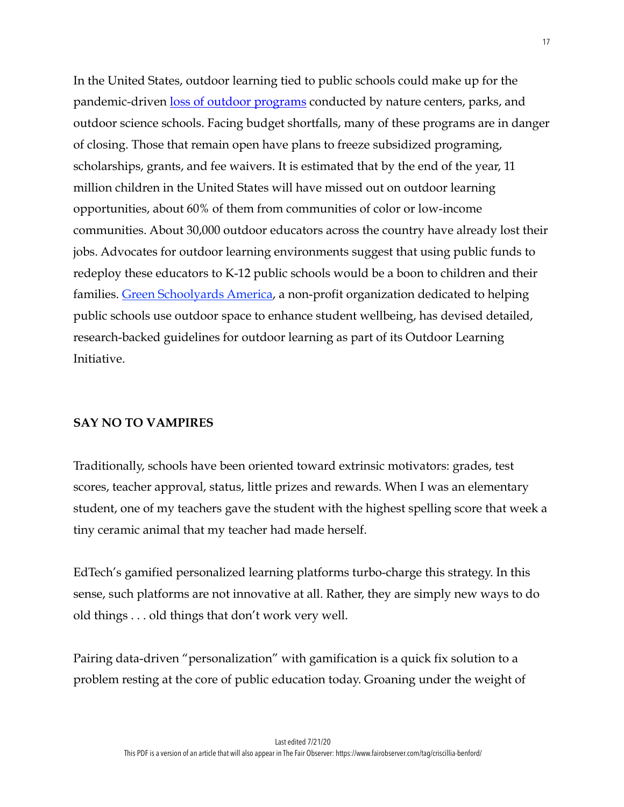In the United States, outdoor learning tied to public schools could make up for the pandemic-driven [loss of outdoor programs](https://www.sciencedaily.com/releases/2020/06/200615140919.htm) conducted by nature centers, parks, and outdoor science schools. Facing budget shortfalls, many of these programs are in danger of closing. Those that remain open have plans to freeze subsidized programing, scholarships, grants, and fee waivers. It is estimated that by the end of the year, 11 million children in the United States will have missed out on outdoor learning opportunities, about 60% of them from communities of color or low-income communities. About 30,000 outdoor educators across the country have already lost their jobs. Advocates for outdoor learning environments suggest that using public funds to redeploy these educators to K-12 public schools would be a boon to children and their families. [Green Schoolyards America,](https://www.greenschoolyards.org/covid-learn-outside) a non-profit organization dedicated to helping public schools use outdoor space to enhance student wellbeing, has devised detailed, research-backed guidelines for outdoor learning as part of its Outdoor Learning Initiative.

## **SAY NO TO VAMPIRES**

Traditionally, schools have been oriented toward extrinsic motivators: grades, test scores, teacher approval, status, little prizes and rewards. When I was an elementary student, one of my teachers gave the student with the highest spelling score that week a tiny ceramic animal that my teacher had made herself.

EdTech's gamified personalized learning platforms turbo-charge this strategy. In this sense, such platforms are not innovative at all. Rather, they are simply new ways to do old things . . . old things that don't work very well.

Pairing data-driven "personalization" with gamification is a quick fix solution to a problem resting at the core of public education today. Groaning under the weight of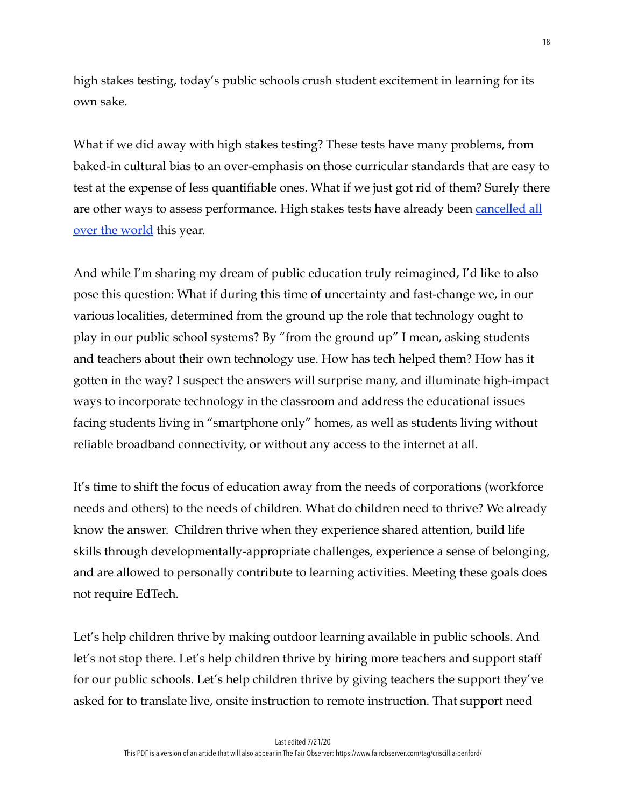high stakes testing, today's public schools crush student excitement in learning for its own sake.

What if we did away with high stakes testing? These tests have many problems, from baked-in cultural bias to an over-emphasis on those curricular standards that are easy to test at the expense of less quantifiable ones. What if we just got rid of them? Surely there are other ways to assess performance. High stakes tests have already been **cancelled all** [over the world](https://blogs.worldbank.org/education/high-stakes-school-exams-during-covid-19-coronavirus-what-best-approach) this year.

And while I'm sharing my dream of public education truly reimagined, I'd like to also pose this question: What if during this time of uncertainty and fast-change we, in our various localities, determined from the ground up the role that technology ought to play in our public school systems? By "from the ground up" I mean, asking students and teachers about their own technology use. How has tech helped them? How has it gotten in the way? I suspect the answers will surprise many, and illuminate high-impact ways to incorporate technology in the classroom and address the educational issues facing students living in "smartphone only" homes, as well as students living without reliable broadband connectivity, or without any access to the internet at all.

It's time to shift the focus of education away from the needs of corporations (workforce needs and others) to the needs of children. What do children need to thrive? We already know the answer. Children thrive when they experience shared attention, build life skills through developmentally-appropriate challenges, experience a sense of belonging, and are allowed to personally contribute to learning activities. Meeting these goals does not require EdTech.

Let's help children thrive by making outdoor learning available in public schools. And let's not stop there. Let's help children thrive by hiring more teachers and support staff for our public schools. Let's help children thrive by giving teachers the support they've asked for to translate live, onsite instruction to remote instruction. That support need